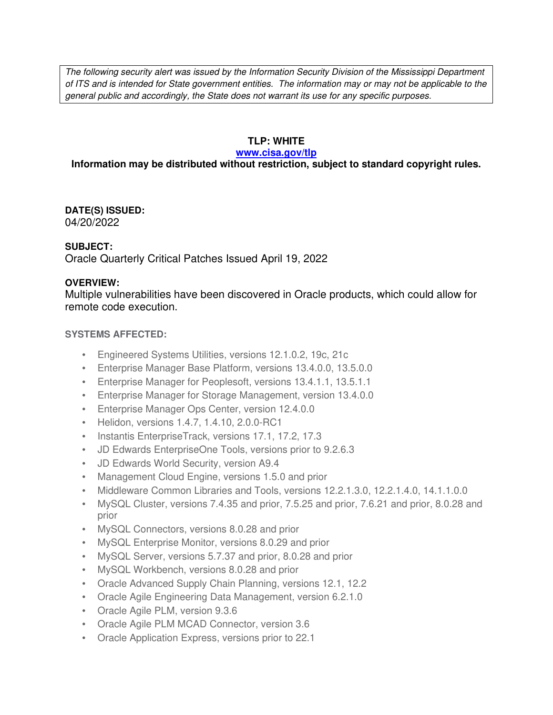The following security alert was issued by the Information Security Division of the Mississippi Department of ITS and is intended for State government entities. The information may or may not be applicable to the general public and accordingly, the State does not warrant its use for any specific purposes.

# **TLP: WHITE**

#### **www.cisa.gov/tlp**

# **Information may be distributed without restriction, subject to standard copyright rules.**

**DATE(S) ISSUED:** 04/20/2022

# **SUBJECT:**

Oracle Quarterly Critical Patches Issued April 19, 2022

# **OVERVIEW:**

Multiple vulnerabilities have been discovered in Oracle products, which could allow for remote code execution.

# **SYSTEMS AFFECTED:**

- Engineered Systems Utilities, versions 12.1.0.2, 19c, 21c
- Enterprise Manager Base Platform, versions 13.4.0.0, 13.5.0.0
- Enterprise Manager for Peoplesoft, versions 13.4.1.1, 13.5.1.1
- Enterprise Manager for Storage Management, version 13.4.0.0
- Enterprise Manager Ops Center, version 12.4.0.0
- Helidon, versions 1.4.7, 1.4.10, 2.0.0-RC1
- Instantis EnterpriseTrack, versions 17.1, 17.2, 17.3
- JD Edwards EnterpriseOne Tools, versions prior to 9.2.6.3
- JD Edwards World Security, version A9.4
- Management Cloud Engine, versions 1.5.0 and prior
- Middleware Common Libraries and Tools, versions 12.2.1.3.0, 12.2.1.4.0, 14.1.1.0.0
- MySQL Cluster, versions 7.4.35 and prior, 7.5.25 and prior, 7.6.21 and prior, 8.0.28 and prior
- MySQL Connectors, versions 8.0.28 and prior
- MySQL Enterprise Monitor, versions 8.0.29 and prior
- MySQL Server, versions 5.7.37 and prior, 8.0.28 and prior
- MySQL Workbench, versions 8.0.28 and prior
- Oracle Advanced Supply Chain Planning, versions 12.1, 12.2
- Oracle Agile Engineering Data Management, version 6.2.1.0
- Oracle Agile PLM, version 9.3.6
- Oracle Agile PLM MCAD Connector, version 3.6
- Oracle Application Express, versions prior to 22.1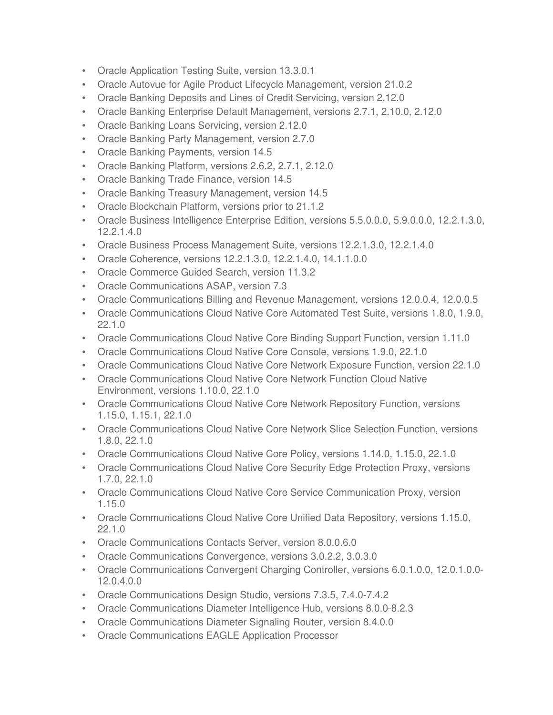- Oracle Application Testing Suite, version 13.3.0.1
- Oracle Autovue for Agile Product Lifecycle Management, version 21.0.2
- Oracle Banking Deposits and Lines of Credit Servicing, version 2.12.0
- Oracle Banking Enterprise Default Management, versions 2.7.1, 2.10.0, 2.12.0
- Oracle Banking Loans Servicing, version 2.12.0
- Oracle Banking Party Management, version 2.7.0
- Oracle Banking Payments, version 14.5
- Oracle Banking Platform, versions 2.6.2, 2.7.1, 2.12.0
- Oracle Banking Trade Finance, version 14.5
- Oracle Banking Treasury Management, version 14.5
- Oracle Blockchain Platform, versions prior to 21.1.2
- Oracle Business Intelligence Enterprise Edition, versions 5.5.0.0.0, 5.9.0.0.0, 12.2.1.3.0, 12.2.1.4.0
- Oracle Business Process Management Suite, versions 12.2.1.3.0, 12.2.1.4.0
- Oracle Coherence, versions 12.2.1.3.0, 12.2.1.4.0, 14.1.1.0.0
- Oracle Commerce Guided Search, version 11.3.2
- Oracle Communications ASAP, version 7.3
- Oracle Communications Billing and Revenue Management, versions 12.0.0.4, 12.0.0.5
- Oracle Communications Cloud Native Core Automated Test Suite, versions 1.8.0, 1.9.0, 22.1.0
- Oracle Communications Cloud Native Core Binding Support Function, version 1.11.0
- Oracle Communications Cloud Native Core Console, versions 1.9.0, 22.1.0
- Oracle Communications Cloud Native Core Network Exposure Function, version 22.1.0
- Oracle Communications Cloud Native Core Network Function Cloud Native Environment, versions 1.10.0, 22.1.0
- Oracle Communications Cloud Native Core Network Repository Function, versions 1.15.0, 1.15.1, 22.1.0
- Oracle Communications Cloud Native Core Network Slice Selection Function, versions 1.8.0, 22.1.0
- Oracle Communications Cloud Native Core Policy, versions 1.14.0, 1.15.0, 22.1.0
- Oracle Communications Cloud Native Core Security Edge Protection Proxy, versions 1.7.0, 22.1.0
- Oracle Communications Cloud Native Core Service Communication Proxy, version 1.15.0
- Oracle Communications Cloud Native Core Unified Data Repository, versions 1.15.0, 22.1.0
- Oracle Communications Contacts Server, version 8.0.0.6.0
- Oracle Communications Convergence, versions 3.0.2.2, 3.0.3.0
- Oracle Communications Convergent Charging Controller, versions 6.0.1.0.0, 12.0.1.0.0- 12.0.4.0.0
- Oracle Communications Design Studio, versions 7.3.5, 7.4.0-7.4.2
- Oracle Communications Diameter Intelligence Hub, versions 8.0.0-8.2.3
- Oracle Communications Diameter Signaling Router, version 8.4.0.0
- Oracle Communications EAGLE Application Processor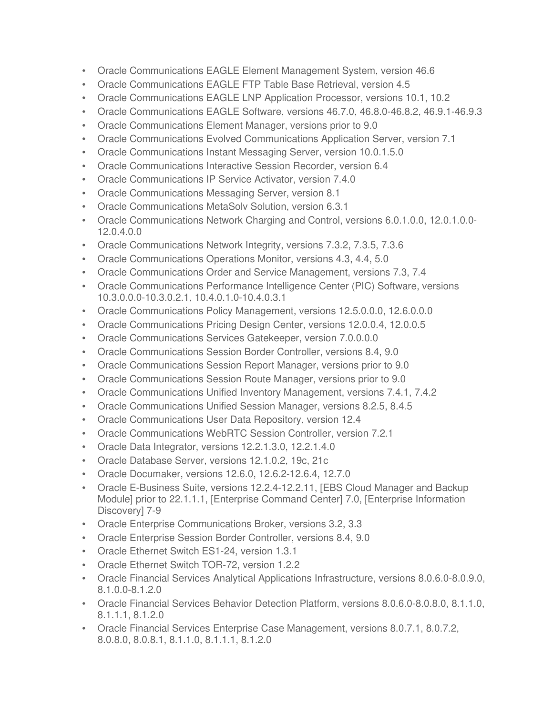- Oracle Communications EAGLE Element Management System, version 46.6
- Oracle Communications EAGLE FTP Table Base Retrieval, version 4.5
- Oracle Communications EAGLE LNP Application Processor, versions 10.1, 10.2
- Oracle Communications EAGLE Software, versions 46.7.0, 46.8.0-46.8.2, 46.9.1-46.9.3
- Oracle Communications Element Manager, versions prior to 9.0
- Oracle Communications Evolved Communications Application Server, version 7.1
- Oracle Communications Instant Messaging Server, version 10.0.1.5.0
- Oracle Communications Interactive Session Recorder, version 6.4
- Oracle Communications IP Service Activator, version 7.4.0
- Oracle Communications Messaging Server, version 8.1
- Oracle Communications MetaSolv Solution, version 6.3.1
- Oracle Communications Network Charging and Control, versions 6.0.1.0.0, 12.0.1.0.0- 12.0.4.0.0
- Oracle Communications Network Integrity, versions 7.3.2, 7.3.5, 7.3.6
- Oracle Communications Operations Monitor, versions 4.3, 4.4, 5.0
- Oracle Communications Order and Service Management, versions 7.3, 7.4
- Oracle Communications Performance Intelligence Center (PIC) Software, versions 10.3.0.0.0-10.3.0.2.1, 10.4.0.1.0-10.4.0.3.1
- Oracle Communications Policy Management, versions 12.5.0.0.0, 12.6.0.0.0
- Oracle Communications Pricing Design Center, versions 12.0.0.4, 12.0.0.5
- Oracle Communications Services Gatekeeper, version 7.0.0.0.0
- Oracle Communications Session Border Controller, versions 8.4, 9.0
- Oracle Communications Session Report Manager, versions prior to 9.0
- Oracle Communications Session Route Manager, versions prior to 9.0
- Oracle Communications Unified Inventory Management, versions 7.4.1, 7.4.2
- Oracle Communications Unified Session Manager, versions 8.2.5, 8.4.5
- Oracle Communications User Data Repository, version 12.4
- Oracle Communications WebRTC Session Controller, version 7.2.1
- Oracle Data Integrator, versions 12.2.1.3.0, 12.2.1.4.0
- Oracle Database Server, versions 12.1.0.2, 19c, 21c
- Oracle Documaker, versions 12.6.0, 12.6.2-12.6.4, 12.7.0
- Oracle E-Business Suite, versions 12.2.4-12.2.11, [EBS Cloud Manager and Backup Module] prior to 22.1.1.1, [Enterprise Command Center] 7.0, [Enterprise Information Discovery] 7-9
- Oracle Enterprise Communications Broker, versions 3.2, 3.3
- Oracle Enterprise Session Border Controller, versions 8.4, 9.0
- Oracle Ethernet Switch ES1-24, version 1.3.1
- Oracle Ethernet Switch TOR-72, version 1.2.2
- Oracle Financial Services Analytical Applications Infrastructure, versions 8.0.6.0-8.0.9.0, 8.1.0.0-8.1.2.0
- Oracle Financial Services Behavior Detection Platform, versions 8.0.6.0-8.0.8.0, 8.1.1.0, 8.1.1.1, 8.1.2.0
- Oracle Financial Services Enterprise Case Management, versions 8.0.7.1, 8.0.7.2, 8.0.8.0, 8.0.8.1, 8.1.1.0, 8.1.1.1, 8.1.2.0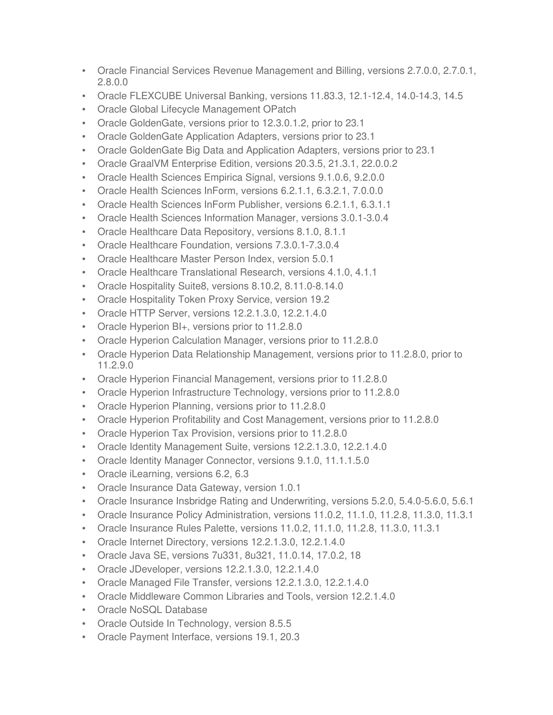- Oracle Financial Services Revenue Management and Billing, versions 2.7.0.0, 2.7.0.1, 2.8.0.0
- Oracle FLEXCUBE Universal Banking, versions 11.83.3, 12.1-12.4, 14.0-14.3, 14.5
- Oracle Global Lifecycle Management OPatch
- Oracle GoldenGate, versions prior to 12.3.0.1.2, prior to 23.1
- Oracle GoldenGate Application Adapters, versions prior to 23.1
- Oracle GoldenGate Big Data and Application Adapters, versions prior to 23.1
- Oracle GraalVM Enterprise Edition, versions 20.3.5, 21.3.1, 22.0.0.2
- Oracle Health Sciences Empirica Signal, versions 9.1.0.6, 9.2.0.0
- Oracle Health Sciences InForm, versions 6.2.1.1, 6.3.2.1, 7.0.0.0
- Oracle Health Sciences InForm Publisher, versions 6.2.1.1, 6.3.1.1
- Oracle Health Sciences Information Manager, versions 3.0.1-3.0.4
- Oracle Healthcare Data Repository, versions 8.1.0, 8.1.1
- Oracle Healthcare Foundation, versions 7.3.0.1-7.3.0.4
- Oracle Healthcare Master Person Index, version 5.0.1
- Oracle Healthcare Translational Research, versions 4.1.0, 4.1.1
- Oracle Hospitality Suite8, versions 8.10.2, 8.11.0-8.14.0
- Oracle Hospitality Token Proxy Service, version 19.2
- Oracle HTTP Server, versions 12.2.1.3.0, 12.2.1.4.0
- Oracle Hyperion BI+, versions prior to 11.2.8.0
- Oracle Hyperion Calculation Manager, versions prior to 11.2.8.0
- Oracle Hyperion Data Relationship Management, versions prior to 11.2.8.0, prior to 11.2.9.0
- Oracle Hyperion Financial Management, versions prior to 11.2.8.0
- Oracle Hyperion Infrastructure Technology, versions prior to 11.2.8.0
- Oracle Hyperion Planning, versions prior to 11.2.8.0
- Oracle Hyperion Profitability and Cost Management, versions prior to 11.2.8.0
- Oracle Hyperion Tax Provision, versions prior to 11.2.8.0
- Oracle Identity Management Suite, versions 12.2.1.3.0, 12.2.1.4.0
- Oracle Identity Manager Connector, versions 9.1.0, 11.1.1.5.0
- Oracle iLearning, versions 6.2, 6.3
- Oracle Insurance Data Gateway, version 1.0.1
- Oracle Insurance Insbridge Rating and Underwriting, versions 5.2.0, 5.4.0-5.6.0, 5.6.1
- Oracle Insurance Policy Administration, versions 11.0.2, 11.1.0, 11.2.8, 11.3.0, 11.3.1
- Oracle Insurance Rules Palette, versions 11.0.2, 11.1.0, 11.2.8, 11.3.0, 11.3.1
- Oracle Internet Directory, versions 12.2.1.3.0, 12.2.1.4.0
- Oracle Java SE, versions 7u331, 8u321, 11.0.14, 17.0.2, 18
- Oracle JDeveloper, versions 12.2.1.3.0, 12.2.1.4.0
- Oracle Managed File Transfer, versions 12.2.1.3.0, 12.2.1.4.0
- Oracle Middleware Common Libraries and Tools, version 12.2.1.4.0
- Oracle NoSQL Database
- Oracle Outside In Technology, version 8.5.5
- Oracle Payment Interface, versions 19.1, 20.3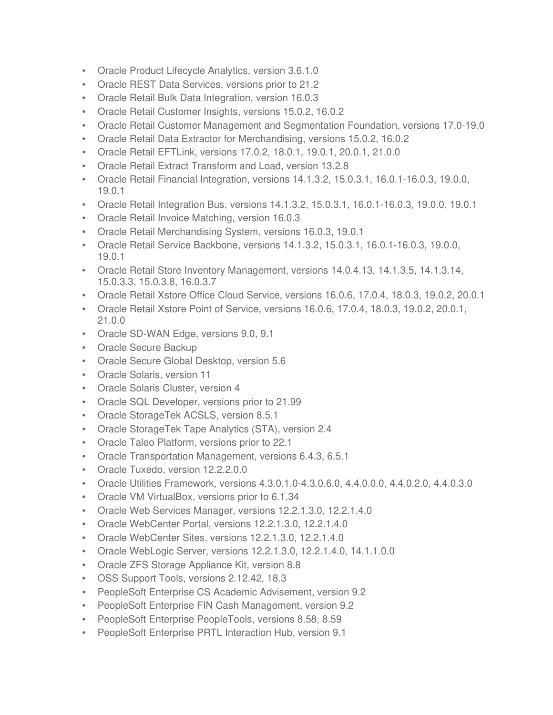- Oracle Product Lifecycle Analytics, version 3.6.1.0
- Oracle REST Data Services, versions prior to 21.2
- Oracle Retail Bulk Data Integration, version 16.0.3
- Oracle Retail Customer Insights, versions 15.0.2, 16.0.2
- Oracle Retail Customer Management and Segmentation Foundation, versions 17.0-19.0
- Oracle Retail Data Extractor for Merchandising, versions 15.0.2, 16.0.2
- Oracle Retail EFTLink, versions 17.0.2, 18.0.1, 19.0.1, 20.0.1, 21.0.0
- Oracle Retail Extract Transform and Load, version 13.2.8
- Oracle Retail Financial Integration, versions 14.1.3.2, 15.0.3.1, 16.0.1-16.0.3, 19.0.0, 19.0.1
- Oracle Retail Integration Bus, versions 14.1.3.2, 15.0.3.1, 16.0.1-16.0.3, 19.0.0, 19.0.1
- Oracle Retail Invoice Matching, version 16.0.3
- Oracle Retail Merchandising System, versions 16.0.3, 19.0.1
- Oracle Retail Service Backbone, versions 14.1.3.2, 15.0.3.1, 16.0.1-16.0.3, 19.0.0, 19.0.1
- Oracle Retail Store Inventory Management, versions 14.0.4.13, 14.1.3.5, 14.1.3.14, 15.0.3.3, 15.0.3.8, 16.0.3.7
- Oracle Retail Xstore Office Cloud Service, versions 16.0.6, 17.0.4, 18.0.3, 19.0.2, 20.0.1
- Oracle Retail Xstore Point of Service, versions 16.0.6, 17.0.4, 18.0.3, 19.0.2, 20.0.1, 21.0.0
- Oracle SD-WAN Edge, versions 9.0, 9.1
- Oracle Secure Backup
- Oracle Secure Global Desktop, version 5.6
- Oracle Solaris, version 11
- Oracle Solaris Cluster, version 4
- Oracle SQL Developer, versions prior to 21.99
- Oracle StorageTek ACSLS, version 8.5.1
- Oracle StorageTek Tape Analytics (STA), version 2.4
- Oracle Taleo Platform, versions prior to 22.1
- Oracle Transportation Management, versions 6.4.3, 6.5.1
- Oracle Tuxedo, version 12.2.2.0.0
- Oracle Utilities Framework, versions 4.3.0.1.0-4.3.0.6.0, 4.4.0.0.0, 4.4.0.2.0, 4.4.0.3.0
- Oracle VM VirtualBox, versions prior to 6.1.34
- Oracle Web Services Manager, versions 12.2.1.3.0, 12.2.1.4.0
- Oracle WebCenter Portal, versions 12.2.1.3.0, 12.2.1.4.0
- Oracle WebCenter Sites, versions 12.2.1.3.0, 12.2.1.4.0
- Oracle WebLogic Server, versions 12.2.1.3.0, 12.2.1.4.0, 14.1.1.0.0
- Oracle ZFS Storage Appliance Kit, version 8.8
- OSS Support Tools, versions 2.12.42, 18.3
- PeopleSoft Enterprise CS Academic Advisement, version 9.2
- PeopleSoft Enterprise FIN Cash Management, version 9.2
- PeopleSoft Enterprise PeopleTools, versions 8.58, 8.59
- PeopleSoft Enterprise PRTL Interaction Hub, version 9.1